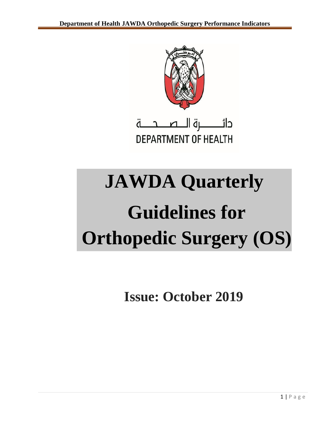

**DEPARTMENT OF HEALTH** 

# **JAWDA Quarterly Guidelines for Orthopedic Surgery (OS)**

**Issue: October 2019**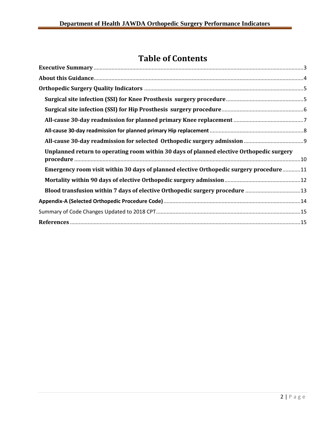# **Table of Contents**

| Unplanned return to operating room within 30 days of planned elective Orthopedic surgery |  |
|------------------------------------------------------------------------------------------|--|
| Emergency room visit within 30 days of planned elective Orthopedic surgery procedure11   |  |
|                                                                                          |  |
|                                                                                          |  |
|                                                                                          |  |
|                                                                                          |  |
|                                                                                          |  |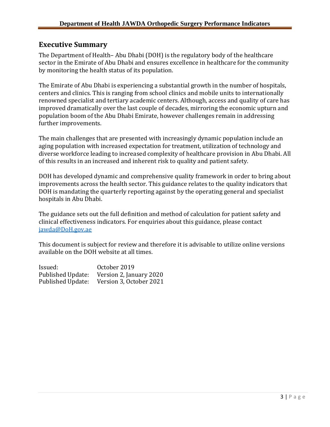### <span id="page-2-0"></span>**Executive Summary**

The Department of Health– Abu Dhabi (DOH) is the regulatory body of the healthcare sector in the Emirate of Abu Dhabi and ensures excellence in healthcare for the community by monitoring the health status of its population.

The Emirate of Abu Dhabi is experiencing a substantial growth in the number of hospitals, centers and clinics. This is ranging from school clinics and mobile units to internationally renowned specialist and tertiary academic centers. Although, access and quality of care has improved dramatically over the last couple of decades, mirroring the economic upturn and population boom of the Abu Dhabi Emirate, however challenges remain in addressing further improvements.

The main challenges that are presented with increasingly dynamic population include an aging population with increased expectation for treatment, utilization of technology and diverse workforce leading to increased complexity of healthcare provision in Abu Dhabi. All of this results in an increased and inherent risk to quality and patient safety.

DOH has developed dynamic and comprehensive quality framework in order to bring about improvements across the health sector. This guidance relates to the quality indicators that DOH is mandating the quarterly reporting against by the operating general and specialist hospitals in Abu Dhabi.

The guidance sets out the full definition and method of calculation for patient safety and clinical effectiveness indicators. For enquiries about this guidance, please contact [jawda@DoH.gov.ae](mailto:jawda@DoH.gov.ae)

This document is subject for review and therefore it is advisable to utilize online versions available on the DOH website at all times.

| Issued:           | October 2019            |
|-------------------|-------------------------|
| Published Update: | Version 2, January 2020 |
| Published Update: | Version 3, October 2021 |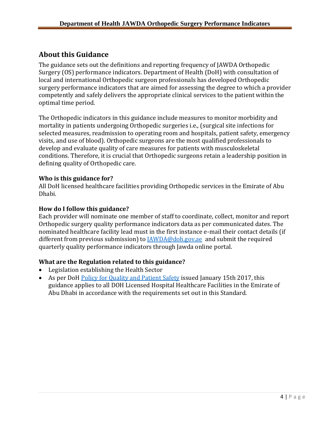### <span id="page-3-0"></span>**About this Guidance**

The guidance sets out the definitions and reporting frequency of JAWDA Orthopedic Surgery (OS) performance indicators. Department of Health (DoH) with consultation of local and international Orthopedic surgeon professionals has developed Orthopedic surgery performance indicators that are aimed for assessing the degree to which a provider competently and safely delivers the appropriate clinical services to the patient within the optimal time period.

The Orthopedic indicators in this guidance include measures to monitor morbidity and mortality in patients undergoing Orthopedic surgeries i.e., (surgical site infections for selected measures, readmission to operating room and hospitals, patient safety, emergency visits, and use of blood). Orthopedic surgeons are the most qualified professionals to develop and evaluate quality of care measures for patients with musculoskeletal conditions. Therefore, it is crucial that Orthopedic surgeons retain a leadership position in defining quality of Orthopedic care.

### **Who is this guidance for?**

All DoH licensed healthcare facilities providing Orthopedic services in the Emirate of Abu Dhabi.

### **How do I follow this guidance?**

Each provider will nominate one member of staff to coordinate, collect, monitor and report Orthopedic surgery quality performance indicators data as per communicated dates. The nominated healthcare facility lead must in the first instance e-mail their contact details (if different from previous submission) to **[JAWDA@doh.gov.ae](mailto:JAWDA@doh.gov.ae)** and submit the required quarterly quality performance indicators through Jawda online portal.

### **What are the Regulation related to this guidance?**

- Legislation establishing the Health Sector
- As per DoH Policy for [Quality and Patient](https://www.haad.ae/HAAD/LinkClick.aspx?fileticket=Jrh93s-AyUA%3d&tabid=1276) Safety issued January 15th 2017, this guidance applies to all DOH Licensed Hospital Healthcare Facilities in the Emirate of Abu Dhabi in accordance with the requirements set out in this Standard.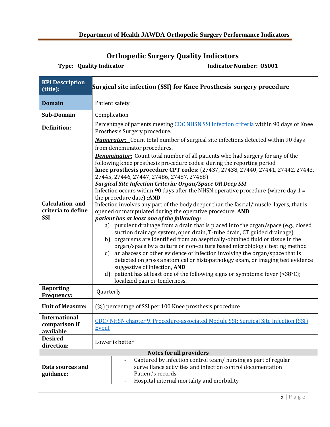# <span id="page-4-1"></span>**Orthopedic Surgery Quality Indicators**

<span id="page-4-0"></span>

| <b>KPI</b> Description<br>(title):                         | Surgical site infection (SSI) for Knee Prosthesis surgery procedure                                                                                                                                                                                                                                                                                                                                                                                                                                                                                                                                                                                                                                                                                                                                                                                                                                                                                                                                                                                                                                                                                                                                                                                                                                                                                                                                                                                                                          |  |  |
|------------------------------------------------------------|----------------------------------------------------------------------------------------------------------------------------------------------------------------------------------------------------------------------------------------------------------------------------------------------------------------------------------------------------------------------------------------------------------------------------------------------------------------------------------------------------------------------------------------------------------------------------------------------------------------------------------------------------------------------------------------------------------------------------------------------------------------------------------------------------------------------------------------------------------------------------------------------------------------------------------------------------------------------------------------------------------------------------------------------------------------------------------------------------------------------------------------------------------------------------------------------------------------------------------------------------------------------------------------------------------------------------------------------------------------------------------------------------------------------------------------------------------------------------------------------|--|--|
| <b>Domain</b>                                              | Patient safety                                                                                                                                                                                                                                                                                                                                                                                                                                                                                                                                                                                                                                                                                                                                                                                                                                                                                                                                                                                                                                                                                                                                                                                                                                                                                                                                                                                                                                                                               |  |  |
| Sub-Domain                                                 | Complication                                                                                                                                                                                                                                                                                                                                                                                                                                                                                                                                                                                                                                                                                                                                                                                                                                                                                                                                                                                                                                                                                                                                                                                                                                                                                                                                                                                                                                                                                 |  |  |
| <b>Definition:</b>                                         | Percentage of patients meeting CDC NHSN SSI infection criteria within 90 days of Knee<br>Prosthesis Surgery procedure.                                                                                                                                                                                                                                                                                                                                                                                                                                                                                                                                                                                                                                                                                                                                                                                                                                                                                                                                                                                                                                                                                                                                                                                                                                                                                                                                                                       |  |  |
| <b>Calculation and</b><br>criteria to define<br><b>SSI</b> | <b>Numerator:</b> Count total number of surgical site infections detected within 90 days<br>from denominator procedures.<br><b>Denominator:</b> Count total number of all patients who had surgery for any of the<br>following knee prosthesis procedure codes: during the reporting period<br>knee prosthesis procedure CPT codes: (27437, 27438, 27440, 27441, 27442, 27443,<br>27445, 27446, 27447, 27486, 27487, 27488)<br><b>Surgical Site Infection Criteria: Organ/Space OR Deep SSI</b><br>Infection occurs within 90 days after the NHSN operative procedure (where day $1 =$<br>the procedure date); AND<br>Infection involves any part of the body deeper than the fascial/muscle layers, that is<br>opened or manipulated during the operative procedure, AND<br>patient has at least one of the following:<br>a) purulent drainage from a drain that is placed into the organ/space (e.g., closed<br>suction drainage system, open drain, T-tube drain, CT guided drainage)<br>b) organisms are identified from an aseptically-obtained fluid or tissue in the<br>organ/space by a culture or non-culture based microbiologic testing method<br>an abscess or other evidence of infection involving the organ/space that is<br>c)<br>detected on gross anatomical or histopathology exam, or imaging test evidence<br>suggestive of infection, AND<br>d) patient has at least one of the following signs or symptoms: fever $(>38^{\circ}C)$ ;<br>localized pain or tenderness. |  |  |
| <b>Reporting</b><br>Frequency:                             | Quarterly                                                                                                                                                                                                                                                                                                                                                                                                                                                                                                                                                                                                                                                                                                                                                                                                                                                                                                                                                                                                                                                                                                                                                                                                                                                                                                                                                                                                                                                                                    |  |  |
| <b>Unit of Measure:</b>                                    | (%) percentage of SSI per 100 Knee prosthesis procedure                                                                                                                                                                                                                                                                                                                                                                                                                                                                                                                                                                                                                                                                                                                                                                                                                                                                                                                                                                                                                                                                                                                                                                                                                                                                                                                                                                                                                                      |  |  |
| <b>International</b><br>comparison if<br>available         | CDC/NHSN chapter 9, Procedure-associated Module SSI: Surgical Site Infection (SSI)<br>Event                                                                                                                                                                                                                                                                                                                                                                                                                                                                                                                                                                                                                                                                                                                                                                                                                                                                                                                                                                                                                                                                                                                                                                                                                                                                                                                                                                                                  |  |  |
| <b>Desired</b><br>direction:                               | Lower is better                                                                                                                                                                                                                                                                                                                                                                                                                                                                                                                                                                                                                                                                                                                                                                                                                                                                                                                                                                                                                                                                                                                                                                                                                                                                                                                                                                                                                                                                              |  |  |
|                                                            | <b>Notes for all providers</b>                                                                                                                                                                                                                                                                                                                                                                                                                                                                                                                                                                                                                                                                                                                                                                                                                                                                                                                                                                                                                                                                                                                                                                                                                                                                                                                                                                                                                                                               |  |  |
| Data sources and<br>guidance:                              | Captured by infection control team/nursing as part of regular<br>surveillance activities and infection control documentation<br>Patient's records<br>Hospital internal mortality and morbidity<br>$\overline{\phantom{a}}$                                                                                                                                                                                                                                                                                                                                                                                                                                                                                                                                                                                                                                                                                                                                                                                                                                                                                                                                                                                                                                                                                                                                                                                                                                                                   |  |  |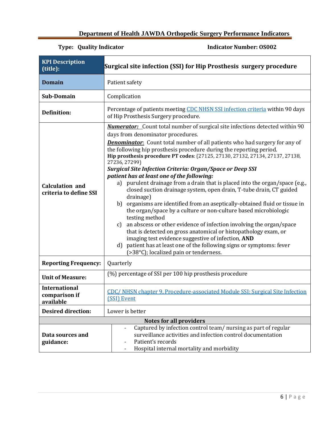### <span id="page-5-0"></span>**Department of Health JAWDA Orthopedic Surgery Performance Indicators**

| <b>KPI Description</b><br>(title):                 | Surgical site infection (SSI) for Hip Prosthesis surgery procedure                                                                                                                                                                                                                                                                                                                                                                                                                                                                                                                                                                                                                                                                                                                                                                                                                                                                                                                                                                                                                                                                                                                   |  |
|----------------------------------------------------|--------------------------------------------------------------------------------------------------------------------------------------------------------------------------------------------------------------------------------------------------------------------------------------------------------------------------------------------------------------------------------------------------------------------------------------------------------------------------------------------------------------------------------------------------------------------------------------------------------------------------------------------------------------------------------------------------------------------------------------------------------------------------------------------------------------------------------------------------------------------------------------------------------------------------------------------------------------------------------------------------------------------------------------------------------------------------------------------------------------------------------------------------------------------------------------|--|
| <b>Domain</b>                                      | Patient safety                                                                                                                                                                                                                                                                                                                                                                                                                                                                                                                                                                                                                                                                                                                                                                                                                                                                                                                                                                                                                                                                                                                                                                       |  |
| <b>Sub-Domain</b>                                  | Complication                                                                                                                                                                                                                                                                                                                                                                                                                                                                                                                                                                                                                                                                                                                                                                                                                                                                                                                                                                                                                                                                                                                                                                         |  |
| <b>Definition:</b>                                 | Percentage of patients meeting CDC NHSN SSI infection criteria within 90 days<br>of Hip Prosthesis Surgery procedure.                                                                                                                                                                                                                                                                                                                                                                                                                                                                                                                                                                                                                                                                                                                                                                                                                                                                                                                                                                                                                                                                |  |
| <b>Calculation and</b><br>criteria to define SSI   | <b>Numerator:</b> Count total number of surgical site infections detected within 90<br>days from denominator procedures.<br><b>Denominator</b> : Count total number of all patients who had surgery for any of<br>the following hip prosthesis procedure during the reporting period.<br>Hip prosthesis procedure PT codes: (27125, 27130, 27132, 27134, 27137, 27138,<br>27236, 27299)<br><b>Surgical Site Infection Criteria: Organ/Space or Deep SSI</b><br>patient has at least one of the following:<br>a) purulent drainage from a drain that is placed into the organ/space (e.g.,<br>closed suction drainage system, open drain, T-tube drain, CT guided<br>drainage)<br>b) organisms are identified from an aseptically-obtained fluid or tissue in<br>the organ/space by a culture or non-culture based microbiologic<br>testing method<br>an abscess or other evidence of infection involving the organ/space<br>$\mathbf{c}$<br>that is detected on gross anatomical or histopathology exam, or<br>imaging test evidence suggestive of infection, AND<br>d) patient has at least one of the following signs or symptoms: fever<br>(>38°C); localized pain or tenderness. |  |
| <b>Reporting Frequency:</b>                        | Quarterly                                                                                                                                                                                                                                                                                                                                                                                                                                                                                                                                                                                                                                                                                                                                                                                                                                                                                                                                                                                                                                                                                                                                                                            |  |
| <b>Unit of Measure:</b>                            | (%) percentage of SSI per 100 hip prosthesis procedure                                                                                                                                                                                                                                                                                                                                                                                                                                                                                                                                                                                                                                                                                                                                                                                                                                                                                                                                                                                                                                                                                                                               |  |
| <b>International</b><br>comparison if<br>available | CDC/NHSN chapter 9, Procedure-associated Module SSI: Surgical Site Infection<br>(SSI) Event                                                                                                                                                                                                                                                                                                                                                                                                                                                                                                                                                                                                                                                                                                                                                                                                                                                                                                                                                                                                                                                                                          |  |
| <b>Desired direction:</b>                          | Lower is better                                                                                                                                                                                                                                                                                                                                                                                                                                                                                                                                                                                                                                                                                                                                                                                                                                                                                                                                                                                                                                                                                                                                                                      |  |
|                                                    | <b>Notes for all providers</b>                                                                                                                                                                                                                                                                                                                                                                                                                                                                                                                                                                                                                                                                                                                                                                                                                                                                                                                                                                                                                                                                                                                                                       |  |
| Data sources and<br>guidance:                      | Captured by infection control team/nursing as part of regular<br>surveillance activities and infection control documentation<br>Patient's records<br>Hospital internal mortality and morbidity                                                                                                                                                                                                                                                                                                                                                                                                                                                                                                                                                                                                                                                                                                                                                                                                                                                                                                                                                                                       |  |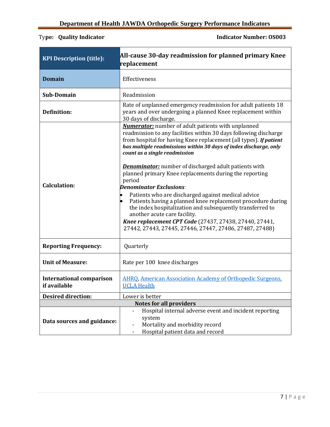<span id="page-6-0"></span>

| <b>KPI Description (title):</b>                 | All-cause 30-day readmission for planned primary Knee<br>replacement                                                                                                                                                                                                                                                                |  |
|-------------------------------------------------|-------------------------------------------------------------------------------------------------------------------------------------------------------------------------------------------------------------------------------------------------------------------------------------------------------------------------------------|--|
| <b>Domain</b>                                   | Effectiveness                                                                                                                                                                                                                                                                                                                       |  |
| <b>Sub-Domain</b>                               | Readmission                                                                                                                                                                                                                                                                                                                         |  |
| Definition:                                     | Rate of unplanned emergency readmission for adult patients 18<br>years and over undergoing a planned Knee replacement within<br>30 days of discharge.                                                                                                                                                                               |  |
|                                                 | <b>Numerator:</b> number of adult patients with unplanned<br>readmission to any facilities within 30 days following discharge<br>from hospital for having Knee replacement (all types). If patient<br>has multiple readmissions within 30 days of index discharge, only<br>count as a single readmission                            |  |
| <b>Calculation:</b>                             | <b>Denominator:</b> number of discharged adult patients with<br>planned primary Knee replacements during the reporting<br>period<br><b>Denominator Exclusions:</b>                                                                                                                                                                  |  |
|                                                 | Patients who are discharged against medical advice<br>Patients having a planned knee replacement procedure during<br>the index hospitalization and subsequently transferred to<br>another acute care facility.<br>Knee replacement CPT Code (27437, 27438, 27440, 27441,<br>27442, 27443, 27445, 27446, 27447, 27486, 27487, 27488) |  |
| <b>Reporting Frequency:</b>                     | Quarterly                                                                                                                                                                                                                                                                                                                           |  |
| <b>Unit of Measure:</b>                         | Rate per 100 knee discharges                                                                                                                                                                                                                                                                                                        |  |
| <b>International comparison</b><br>if available | <b>AHRO, American Association Academy of Orthopedic Surgeons.</b><br><b>UCLA Health</b>                                                                                                                                                                                                                                             |  |
| <b>Desired direction:</b>                       | Lower is better                                                                                                                                                                                                                                                                                                                     |  |
|                                                 | <b>Notes for all providers</b>                                                                                                                                                                                                                                                                                                      |  |
| Data sources and guidance:                      | Hospital internal adverse event and incident reporting<br>system<br>Mortality and morbidity record<br>Hospital patient data and record                                                                                                                                                                                              |  |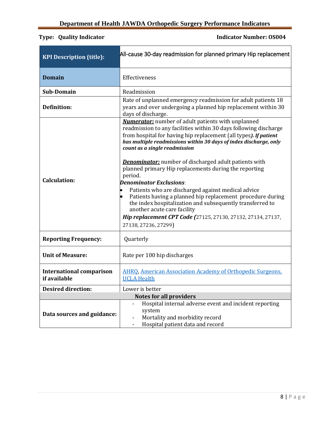<span id="page-7-0"></span>

| <b>KPI Description (title):</b>                 | All-cause 30-day readmission for planned primary Hip replacement                                                                                                                                                                                                                                                  |  |
|-------------------------------------------------|-------------------------------------------------------------------------------------------------------------------------------------------------------------------------------------------------------------------------------------------------------------------------------------------------------------------|--|
| <b>Domain</b>                                   | Effectiveness                                                                                                                                                                                                                                                                                                     |  |
| Sub-Domain                                      | Readmission                                                                                                                                                                                                                                                                                                       |  |
| <b>Definition:</b>                              | Rate of unplanned emergency readmission for adult patients 18<br>years and over undergoing a planned hip replacement within 30<br>days of discharge.                                                                                                                                                              |  |
|                                                 | <b>Numerator:</b> number of adult patients with unplanned<br>readmission to any facilities within 30 days following discharge<br>from hospital for having hip replacement (all types). If patient<br>has multiple readmissions within 30 days of index discharge, only<br>count as a single readmission           |  |
| <b>Calculation:</b>                             | <b>Denominator:</b> number of discharged adult patients with<br>planned primary Hip replacements during the reporting<br>period.<br><b>Denominator Exclusions:</b>                                                                                                                                                |  |
|                                                 | Patients who are discharged against medical advice<br>$\bullet$<br>Patients having a planned hip replacement procedure during<br>the index hospitalization and subsequently transferred to<br>another acute care facility<br>Hip replacement CPT Code (27125, 27130, 27132, 27134, 27137,<br>27138, 27236, 27299) |  |
| <b>Reporting Frequency:</b>                     | Quarterly                                                                                                                                                                                                                                                                                                         |  |
| <b>Unit of Measure:</b>                         | Rate per 100 hip discharges                                                                                                                                                                                                                                                                                       |  |
| <b>International comparison</b><br>if available | <b>AHRQ, American Association Academy of Orthopedic Surgeons.</b><br><b>UCLA Health</b>                                                                                                                                                                                                                           |  |
| <b>Desired direction:</b>                       | Lower is better                                                                                                                                                                                                                                                                                                   |  |
|                                                 | <b>Notes for all providers</b><br>Hospital internal adverse event and incident reporting                                                                                                                                                                                                                          |  |
| Data sources and guidance:                      | system<br>Mortality and morbidity record<br>Hospital patient data and record                                                                                                                                                                                                                                      |  |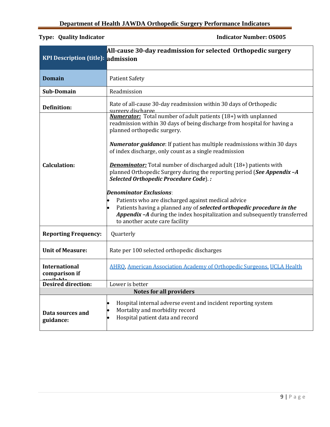9 | P a g e

<span id="page-8-0"></span>

| <b>KPI</b> Description (title): admission                                                                                                                                                                    | All-cause 30-day readmission for selected Orthopedic surgery                                                                                                                                                                                                                 |  |  |
|--------------------------------------------------------------------------------------------------------------------------------------------------------------------------------------------------------------|------------------------------------------------------------------------------------------------------------------------------------------------------------------------------------------------------------------------------------------------------------------------------|--|--|
| <b>Domain</b>                                                                                                                                                                                                | <b>Patient Safety</b>                                                                                                                                                                                                                                                        |  |  |
| <b>Sub-Domain</b>                                                                                                                                                                                            | Readmission                                                                                                                                                                                                                                                                  |  |  |
| <b>Definition:</b>                                                                                                                                                                                           | Rate of all-cause 30-day readmission within 30 days of Orthopedic<br>surgery discharge                                                                                                                                                                                       |  |  |
| <b>Numerator:</b> Total number of adult patients (18+) with unplanned<br>readmission within 30 days of being discharge from hospital for having a<br>planned orthopedic surgery.                             |                                                                                                                                                                                                                                                                              |  |  |
|                                                                                                                                                                                                              | Numerator guidance: If patient has multiple readmissions within 30 days<br>of index discharge, only count as a single readmission                                                                                                                                            |  |  |
| <b>Denominator:</b> Total number of discharged adult (18+) patients with<br>Calculation:<br>planned Orthopedic Surgery during the reporting period (See Appendix -A<br>Selected Orthopedic Procedure Code).: |                                                                                                                                                                                                                                                                              |  |  |
|                                                                                                                                                                                                              | <b>Denominator Exclusions:</b><br>Patients who are discharged against medical advice<br>Patients having a planned any of selected orthopedic procedure in the<br>Appendix -A during the index hospitalization and subsequently transferred<br>to another acute care facility |  |  |
| <b>Reporting Frequency:</b>                                                                                                                                                                                  | Quarterly                                                                                                                                                                                                                                                                    |  |  |
| <b>Unit of Measure:</b>                                                                                                                                                                                      | Rate per 100 selected orthopedic discharges                                                                                                                                                                                                                                  |  |  |
| <b>International</b><br>comparison if<br>ovojloblo                                                                                                                                                           | <b>AHRQ, American Association Academy of Orthopedic Surgeons, UCLA Health</b>                                                                                                                                                                                                |  |  |
| <b>Desired direction:</b>                                                                                                                                                                                    | Lower is better                                                                                                                                                                                                                                                              |  |  |
|                                                                                                                                                                                                              | <b>Notes for all providers</b>                                                                                                                                                                                                                                               |  |  |
| Data sources and<br>guidance:                                                                                                                                                                                | Hospital internal adverse event and incident reporting system<br>Mortality and morbidity record<br>Hospital patient data and record                                                                                                                                          |  |  |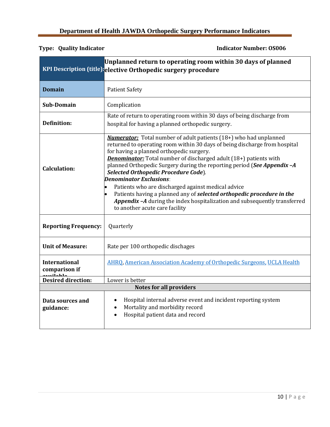<span id="page-9-0"></span>

|                                                   | Unplanned return to operating room within 30 days of planned<br>KPI Description (title):elective Orthopedic surgery procedure                                                                                                                                                                                                                                                                                                                                                                                                                                                                                                                                                           |  |
|---------------------------------------------------|-----------------------------------------------------------------------------------------------------------------------------------------------------------------------------------------------------------------------------------------------------------------------------------------------------------------------------------------------------------------------------------------------------------------------------------------------------------------------------------------------------------------------------------------------------------------------------------------------------------------------------------------------------------------------------------------|--|
| <b>Domain</b>                                     | <b>Patient Safety</b>                                                                                                                                                                                                                                                                                                                                                                                                                                                                                                                                                                                                                                                                   |  |
| Sub-Domain                                        | Complication                                                                                                                                                                                                                                                                                                                                                                                                                                                                                                                                                                                                                                                                            |  |
| <b>Definition:</b>                                | Rate of return to operating room within 30 days of being discharge from<br>hospital for having a planned orthopedic surgery.                                                                                                                                                                                                                                                                                                                                                                                                                                                                                                                                                            |  |
| <b>Calculation:</b>                               | <b>Numerator:</b> Total number of adult patients (18+) who had unplanned<br>returned to operating room within 30 days of being discharge from hospital<br>for having a planned orthopedic surgery.<br><b>Denominator:</b> Total number of discharged adult (18+) patients with<br>planned Orthopedic Surgery during the reporting period (See Appendix -A<br>Selected Orthopedic Procedure Code).<br><b>Denominator Exclusions:</b><br>Patients who are discharged against medical advice<br>Patients having a planned any of selected orthopedic procedure in the<br><b>Appendix-A</b> during the index hospitalization and subsequently transferred<br>to another acute care facility |  |
| <b>Reporting Frequency:</b>                       | Quarterly                                                                                                                                                                                                                                                                                                                                                                                                                                                                                                                                                                                                                                                                               |  |
| <b>Unit of Measure:</b>                           | Rate per 100 orthopedic dischages                                                                                                                                                                                                                                                                                                                                                                                                                                                                                                                                                                                                                                                       |  |
| <b>International</b><br>comparison if<br>umilahla | AHRO, American Association Academy of Orthopedic Surgeons, UCLA Health                                                                                                                                                                                                                                                                                                                                                                                                                                                                                                                                                                                                                  |  |
| <b>Desired direction:</b>                         | Lower is better                                                                                                                                                                                                                                                                                                                                                                                                                                                                                                                                                                                                                                                                         |  |
| <b>Notes for all providers</b>                    |                                                                                                                                                                                                                                                                                                                                                                                                                                                                                                                                                                                                                                                                                         |  |
| Data sources and<br>guidance:                     | Hospital internal adverse event and incident reporting system<br>$\bullet$<br>Mortality and morbidity record<br>$\bullet$<br>Hospital patient data and record<br>$\bullet$                                                                                                                                                                                                                                                                                                                                                                                                                                                                                                              |  |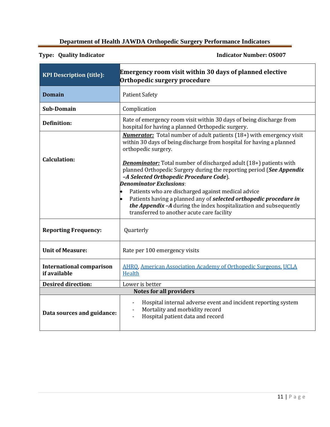### <span id="page-10-0"></span>**Department of Health JAWDA Orthopedic Surgery Performance Indicators**

| <b>KPI Description (title):</b>                 | <b>Emergency room visit within 30 days of planned elective</b><br>Orthopedic surgery procedure                                                                                                                                |  |
|-------------------------------------------------|-------------------------------------------------------------------------------------------------------------------------------------------------------------------------------------------------------------------------------|--|
| <b>Domain</b>                                   | <b>Patient Safety</b>                                                                                                                                                                                                         |  |
| <b>Sub-Domain</b>                               | Complication                                                                                                                                                                                                                  |  |
| <b>Definition:</b>                              | Rate of emergency room visit within 30 days of being discharge from<br>hospital for having a planned Orthopedic surgery.                                                                                                      |  |
|                                                 | <b>Numerator:</b> Total number of adult patients (18+) with emergency visit<br>within 30 days of being discharge from hospital for having a planned<br>orthopedic surgery.                                                    |  |
| <b>Calculation:</b>                             | <b>Denominator:</b> Total number of discharged adult (18+) patients with<br>planned Orthopedic Surgery during the reporting period (See Appendix<br>-A Selected Orthopedic Procedure Code).<br><b>Denominator Exclusions:</b> |  |
|                                                 | Patients who are discharged against medical advice                                                                                                                                                                            |  |
|                                                 | Patients having a planned any of selected orthopedic procedure in<br>the Appendix -A during the index hospitalization and subsequently<br>transferred to another acute care facility                                          |  |
| <b>Reporting Frequency:</b>                     | Quarterly                                                                                                                                                                                                                     |  |
| <b>Unit of Measure:</b>                         | Rate per 100 emergency visits                                                                                                                                                                                                 |  |
| <b>International comparison</b><br>if available | <b>AHRQ, American Association Academy of Orthopedic Surgeons, UCLA</b><br>Health                                                                                                                                              |  |
| <b>Desired direction:</b>                       | Lower is better                                                                                                                                                                                                               |  |
|                                                 | <b>Notes for all providers</b>                                                                                                                                                                                                |  |
| Data sources and guidance:                      | Hospital internal adverse event and incident reporting system<br>$\overline{\phantom{0}}$<br>Mortality and morbidity record<br>Hospital patient data and record                                                               |  |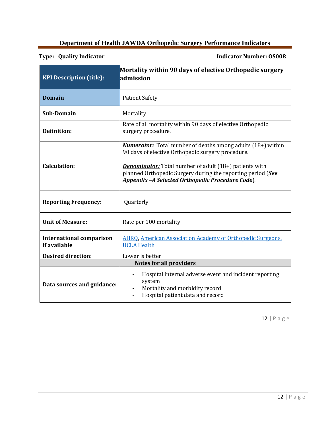### <span id="page-11-0"></span>**Department of Health JAWDA Orthopedic Surgery Performance Indicators**

**Type: Quality Indicator Indicator Number: OS008**

| <b>KPI Description (title):</b>                 | Mortality within 90 days of elective Orthopedic surgery<br>admission                                                                                                                                                                                                                                        |  |
|-------------------------------------------------|-------------------------------------------------------------------------------------------------------------------------------------------------------------------------------------------------------------------------------------------------------------------------------------------------------------|--|
| <b>Domain</b>                                   | <b>Patient Safety</b>                                                                                                                                                                                                                                                                                       |  |
| <b>Sub-Domain</b>                               | Mortality                                                                                                                                                                                                                                                                                                   |  |
| <b>Definition:</b>                              | Rate of all mortality within 90 days of elective Orthopedic<br>surgery procedure.                                                                                                                                                                                                                           |  |
| <b>Calculation:</b>                             | <b>Numerator:</b> Total number of deaths among adults (18+) within<br>90 days of elective Orthopedic surgery procedure.<br><b>Denominator:</b> Total number of adult (18+) patients with<br>planned Orthopedic Surgery during the reporting period (See<br>Appendix -A Selected Orthopedic Procedure Code). |  |
| <b>Reporting Frequency:</b>                     | Quarterly                                                                                                                                                                                                                                                                                                   |  |
| <b>Unit of Measure:</b>                         | Rate per 100 mortality                                                                                                                                                                                                                                                                                      |  |
| <b>International comparison</b><br>if available | <b>AHRQ, American Association Academy of Orthopedic Surgeons,</b><br><b>UCLA Health</b>                                                                                                                                                                                                                     |  |
| <b>Desired direction:</b>                       | Lower is better                                                                                                                                                                                                                                                                                             |  |
| <b>Notes for all providers</b>                  |                                                                                                                                                                                                                                                                                                             |  |
| Data sources and guidance:                      | Hospital internal adverse event and incident reporting<br>system<br>Mortality and morbidity record<br>Hospital patient data and record                                                                                                                                                                      |  |

12 | P a g e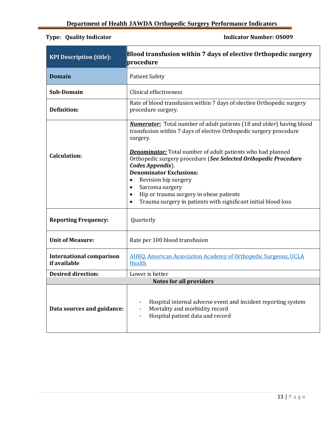<span id="page-12-0"></span>

| <b>KPI Description (title):</b>                                                | Blood transfusion within 7 days of elective Orthopedic surgery<br>procedure                                                                                                                                                                                                                                                                                                                                                                                                                                                        |  |
|--------------------------------------------------------------------------------|------------------------------------------------------------------------------------------------------------------------------------------------------------------------------------------------------------------------------------------------------------------------------------------------------------------------------------------------------------------------------------------------------------------------------------------------------------------------------------------------------------------------------------|--|
| <b>Domain</b>                                                                  | <b>Patient Safety</b>                                                                                                                                                                                                                                                                                                                                                                                                                                                                                                              |  |
| <b>Sub-Domain</b>                                                              | Clinical effectiveness                                                                                                                                                                                                                                                                                                                                                                                                                                                                                                             |  |
| <b>Definition:</b>                                                             | Rate of blood transfusion within 7 days of elective Orthopedic surgery<br>procedure surgery.                                                                                                                                                                                                                                                                                                                                                                                                                                       |  |
| <b>Calculation:</b>                                                            | <b>Numerator:</b> Total number of adult patients (18 and older) having blood<br>transfusion within 7 days of elective Orthopedic surgery procedure<br>surgery.<br><b>Denominator:</b> Total number of adult patients who had planned<br>Orthopedic surgery procedure (See Selected Orthopedic Procedure<br>Codes Appendix).<br><b>Denominator Exclusions:</b><br>Revision hip surgery<br>$\bullet$<br>Sarcoma surgery<br>Hip or trauma surgery in obese patients<br>Trauma surgery in patients with significant initial blood loss |  |
| <b>Reporting Frequency:</b>                                                    | Quarterly                                                                                                                                                                                                                                                                                                                                                                                                                                                                                                                          |  |
| <b>Unit of Measure:</b>                                                        | Rate per 100 blood transfusion                                                                                                                                                                                                                                                                                                                                                                                                                                                                                                     |  |
| <b>International comparison</b><br>if available                                | AHRQ, American Association Academy of Orthopedic Surgeons, UCLA<br>Health                                                                                                                                                                                                                                                                                                                                                                                                                                                          |  |
| <b>Desired direction:</b><br>Lower is better<br><b>Notes for all providers</b> |                                                                                                                                                                                                                                                                                                                                                                                                                                                                                                                                    |  |
| Data sources and guidance:                                                     | Hospital internal adverse event and incident reporting system<br>Mortality and morbidity record<br>Hospital patient data and record                                                                                                                                                                                                                                                                                                                                                                                                |  |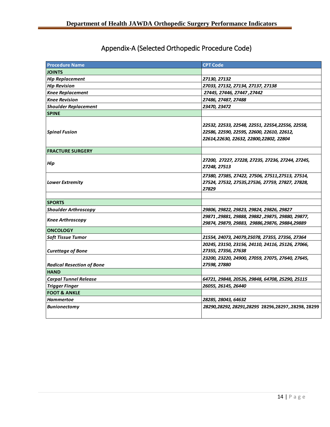# Appendix-A (Selected Orthopedic Procedure Code)

<span id="page-13-0"></span>

| <b>Procedure Name</b>            | <b>CPT Code</b>                                                                                                                        |
|----------------------------------|----------------------------------------------------------------------------------------------------------------------------------------|
| <b>JOINTS</b>                    |                                                                                                                                        |
| <b>Hip Replacement</b>           | 27130, 27132                                                                                                                           |
| <b>Hip Revision</b>              | 27033, 27132, 27134, 27137, 27138                                                                                                      |
| <b>Knee Replacement</b>          | 27445, 27446, 27447, 27442                                                                                                             |
| <b>Knee Revision</b>             | 27486, 27487, 27488                                                                                                                    |
| <b>Shoulder Replacement</b>      | 23470, 23472                                                                                                                           |
| <b>SPINE</b>                     |                                                                                                                                        |
| <b>Spinal Fusion</b>             | 22532, 22533, 22548, 22551, 22554,22556, 22558,<br>22586, 22590, 22595, 22600, 22610, 22612,<br>22614,22630, 22632, 22800,22802, 22804 |
| <b>FRACTURE SURGERY</b>          |                                                                                                                                        |
| Hip                              | 27200, 27227, 27228, 27235, 27236, 27244, 27245,<br>27248, 27513                                                                       |
| <b>Lower Extremity</b>           | 27380, 27385, 27422, 27506, 27511, 27513, 27514,<br>27524, 27532, 27535, 27536, 27759, 27827, 27828,<br>27829                          |
|                                  |                                                                                                                                        |
| <b>SPORTS</b>                    |                                                                                                                                        |
| <b>Shoulder Arthroscopy</b>      | 29806, 29822, 29823, 29824, 29826, 29827                                                                                               |
| <b>Knee Arthroscopy</b>          | 29871, 29881, 29888, 29882, 29875, 29880, 29877,<br>29874, 29879, 29883, 29886, 29876, 29884, 29889                                    |
| <b>ONCOLOGY</b>                  |                                                                                                                                        |
| <b>Soft Tissue Tumor</b>         | 21554, 24073, 24079, 25078, 27355, 27356, 27364                                                                                        |
| <b>Curettage of Bone</b>         | 20245, 23150, 23156, 24110, 24116, 25126, 27066,<br>27355, 27356, 27638                                                                |
|                                  | 23200, 23220, 24900, 27059, 27075, 27640, 27645,                                                                                       |
| <b>Radical Resection of Bone</b> | 27598, 27880                                                                                                                           |
| <b>HAND</b>                      |                                                                                                                                        |
| <b>Carpal Tunnel Release</b>     | 64721, 29848, 20526, 29848, 64708, 25290, 25115                                                                                        |
| <b>Trigger Finger</b>            | 26055, 26145, 26440                                                                                                                    |
| <b>FOOT &amp; ANKLE</b>          |                                                                                                                                        |
| <b>Hammertoe</b>                 | 28285, 28043, 64632                                                                                                                    |
| <b>Bunionectomy</b>              | 28290,28292, 28291,28295 28296,28297,.28298, 28299                                                                                     |

*28296,28297,.28298, 28299*